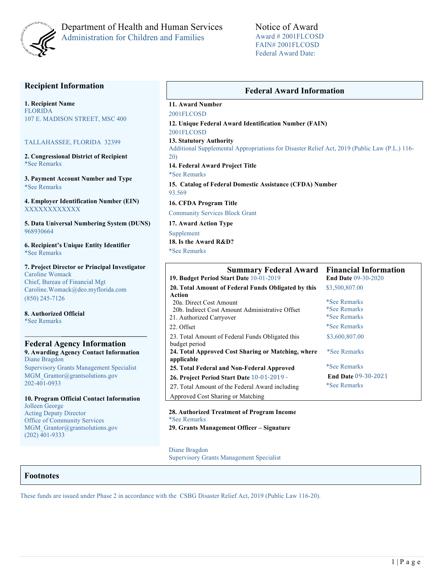

## Department of Health and Human Services Administration for Children and Families

Notice of Award Award # 2001FLCOSD FAIN# 2001FLCOSD Federal Award Date:

### **Recipient Information**

**1. Recipient Name** FLORIDA 107 E. MADISON STREET, MSC 400

#### TALLAHASSEE, FLORIDA 32399

**2. Congressional District of Recipient**  \*See Remarks

**3. Payment Account Number and Type** \*See Remarks

**4. Employer Identification Number (EIN)** XXXXXXXXXXXX

**5. Data Universal Numbering System (DUNS)**  968930664

**6. Recipient's Unique Entity Identifier**  \*See Remarks

**7. Project Director or Principal Investigator**  Caroline Womack Chief, Bureau of Financial Mgt Caroline.Womack@deo.myflorida.com (850) 245-7126

**8. Authorized Official**  \*See Remarks

#### **Federal Agency Information 9. Awarding Agency Contact Information** Diane Bragdon Supervisory Grants Management Specialist MGM Grantor@grantsolutions.gov

202-401-0933

**10. Program Official Contact Information** Jolleen George

Acting Deputy Director Office of Community Services MGM Grantor@grantsolutions.gov  $(202)\overline{401} - 9333$ 

#### **Federal Award Information**

**11. Award Number**

2001FLCOSD **12. Unique Federal Award Identification Number (FAIN)**  2001FLCOSD **13. Statutory Authority** 

Additional Supplemental Appropriations for Disaster Relief Act, 2019 (Public Law (P.L.) 116- 20)

**14. Federal Award Project Title** 

\*See Remarks **15. Catalog of Federal Domestic Assistance (CFDA) Number**  93.569

**16. CFDA Program Title**  Community Services Block Grant

**17. Award Action Type**  Supplement **18. Is the Award R&D?**  \*See Remarks

| <b>Summary Federal Award</b>                                      | <b>Financial Information</b> |  |  |
|-------------------------------------------------------------------|------------------------------|--|--|
| 19. Budget Period Start Date 10-01-2019                           | <b>End Date 09-30-2020</b>   |  |  |
| 20. Total Amount of Federal Funds Obligated by this<br>Action     | \$3,500,807.00               |  |  |
| 20a. Direct Cost Amount                                           | <i>*See Remarks</i>          |  |  |
| 20b. Indirect Cost Amount Administrative Offset                   | <i>*See Remarks</i>          |  |  |
| 21. Authorized Carryover                                          | <i>*See Remarks</i>          |  |  |
| 22. Offset                                                        | *See Remarks                 |  |  |
| 23. Total Amount of Federal Funds Obligated this<br>budget period | \$3,600,807.00               |  |  |
| 24. Total Approved Cost Sharing or Matching, where<br>applicable  | *See Remarks                 |  |  |
| 25. Total Federal and Non-Federal Approved                        | <i>*See Remarks</i>          |  |  |
| 26. Project Period Start Date 10-01-2019 -                        | <b>End Date 09-30-2021</b>   |  |  |
| 27. Total Amount of the Federal Award including                   | *See Remarks                 |  |  |
| Approved Cost Sharing or Matching                                 |                              |  |  |

**28. Authorized Treatment of Program Income**  \*See Remarks **29. Grants Management Officer – Signature** 

Diane Bragdon

Supervisory Grants Management Specialist

#### **Footnotes**

These funds are issued under Phase 2 in accordance with the CSBG Disaster Relief Act, 2019 (Public Law 116-20).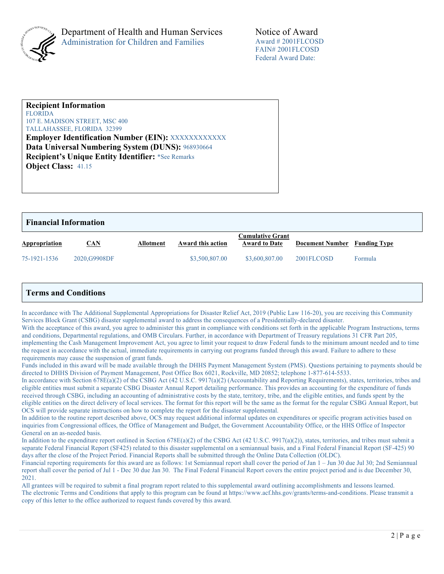

# **Recipient Information**

FLORIDA 107 E. MADISON STREET, MSC 400 TALLAHASSEE, FLORIDA 32399

**Employer Identification Number (EIN):** XXXXXXXXXXXX **Data Universal Numbering System (DUNS):** 968930664 **Recipient's Unique Entity Identifier:** \*See Remarks **Object Class:** 41.15

| <b>Financial Information</b> |              |           |                   |                                                 |                        |                     |  |
|------------------------------|--------------|-----------|-------------------|-------------------------------------------------|------------------------|---------------------|--|
| Appropriation                | CAN          | Allotment | Award this action | <b>Cumulative Grant</b><br><b>Award to Date</b> | <b>Document Number</b> | <b>Funding Type</b> |  |
| 75-1921-1536                 | 2020,G9908DF |           | \$3,500,807.00    | \$3,600,807.00                                  | 2001FLCOSD             | Formula             |  |

# **Terms and Conditions**

In accordance with The Additional Supplemental Appropriations for Disaster Relief Act, 2019 (Public Law 116-20), you are receiving this Community Services Block Grant (CSBG) disaster supplemental award to address the consequences of a Presidentially-declared disaster.

With the acceptance of this award, you agree to administer this grant in compliance with conditions set forth in the applicable Program Instructions, terms and conditions, Departmental regulations, and OMB Circulars. Further, in accordance with Department of Treasury regulations 31 CFR Part 205, implementing the Cash Management Improvement Act, you agree to limit your request to draw Federal funds to the minimum amount needed and to time the request in accordance with the actual, immediate requirements in carrying out programs funded through this award. Failure to adhere to these requirements may cause the suspension of grant funds.

Funds included in this award will be made available through the DHHS Payment Management System (PMS). Questions pertaining to payments should be directed to DHHS Division of Payment Management, Post Office Box 6021, Rockville, MD 20852; telephone 1-877-614-5533.

In accordance with Section 678E(a)(2) of the CSBG Act (42 U.S.C. 9917(a)(2) (Accountability and Reporting Requirements), states, territories, tribes and eligible entities must submit a separate CSBG Disaster Annual Report detailing performance. This provides an accounting for the expenditure of funds received through CSBG, including an accounting of administrative costs by the state, territory, tribe, and the eligible entities, and funds spent by the eligible entities on the direct delivery of local services. The format for this report will be the same as the format for the regular CSBG Annual Report, but OCS will provide separate instructions on how to complete the report for the disaster supplemental.

In addition to the routine report described above, OCS may request additional informal updates on expenditures or specific program activities based on inquiries from Congressional offices, the Office of Management and Budget, the Government Accountability Office, or the HHS Office of Inspector General on an as-needed basis.

In addition to the expenditure report outlined in Section 678E(a)(2) of the CSBG Act (42 U.S.C. 9917(a)(2)), states, territories, and tribes must submit a separate Federal Financial Report (SF425) related to this disaster supplemental on a semiannual basis, and a Final Federal Financial Report (SF-425) 90 days after the close of the Project Period. Financial Reports shall be submitted through the Online Data Collection (OLDC).

Financial reporting requirements for this award are as follows: 1st Semiannual report shall cover the period of Jan 1 – Jun 30 due Jul 30; 2nd Semiannual report shall cover the period of Jul 1 - Dec 30 due Jan 30. The Final Federal Financial Report covers the entire project period and is due December 30, 2021.

All grantees will be required to submit a final program report related to this supplemental award outlining accomplishments and lessons learned. The electronic Terms and Conditions that apply to this program can be found at https://www.acf.hhs.gov/grants/terms-and-conditions. Please transmit a copy of this letter to the office authorized to request funds covered by this award.